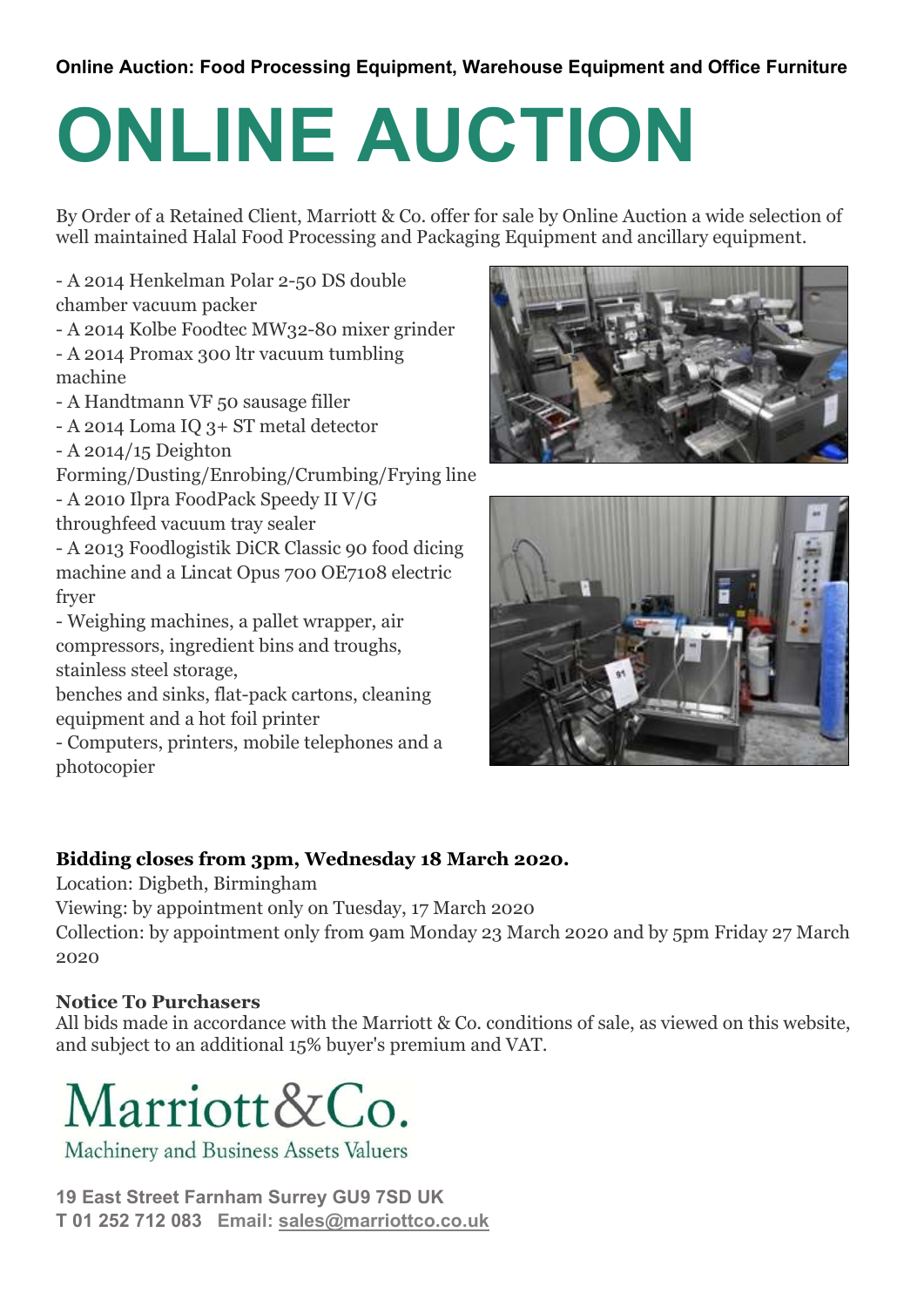## Online Auction: Food Processing Equipment, Warehouse Equipment and Office Furniture

## ONLINE AUCTION

By Order of a Retained Client, Marriott & Co. offer for sale by Online Auction a wide selection of well maintained Halal Food Processing and Packaging Equipment and ancillary equipment.

- A 2014 Henkelman Polar 2-50 DS double chamber vacuum packer

- A 2014 Kolbe Foodtec MW32-80 mixer grinder

- A 2014 Promax 300 ltr vacuum tumbling machine
- A Handtmann VF 50 sausage filler
- A 2014 Loma IQ 3+ ST metal detector
- A 2014/15 Deighton
- Forming/Dusting/Enrobing/Crumbing/Frying line
- A 2010 Ilpra FoodPack Speedy II V/G
- throughfeed vacuum tray sealer

- A 2013 Foodlogistik DiCR Classic 90 food dicing machine and a Lincat Opus 700 OE7108 electric fryer

- Weighing machines, a pallet wrapper, air compressors, ingredient bins and troughs, stainless steel storage,

benches and sinks, flat-pack cartons, cleaning equipment and a hot foil printer

- Computers, printers, mobile telephones and a photocopier





## Bidding closes from 3pm, Wednesday 18 March 2020.

Location: Digbeth, Birmingham

Viewing: by appointment only on Tuesday, 17 March 2020

Collection: by appointment only from 9am Monday 23 March 2020 and by 5pm Friday 27 March 2020

## Notice To Purchasers

All bids made in accordance with the Marriott & Co. conditions of sale, as viewed on this website, and subject to an additional 15% buyer's premium and VAT.



19 East Street Farnham Surrey GU9 7SD UK T 01 252 712 083 Email: sales@marriottco.co.uk